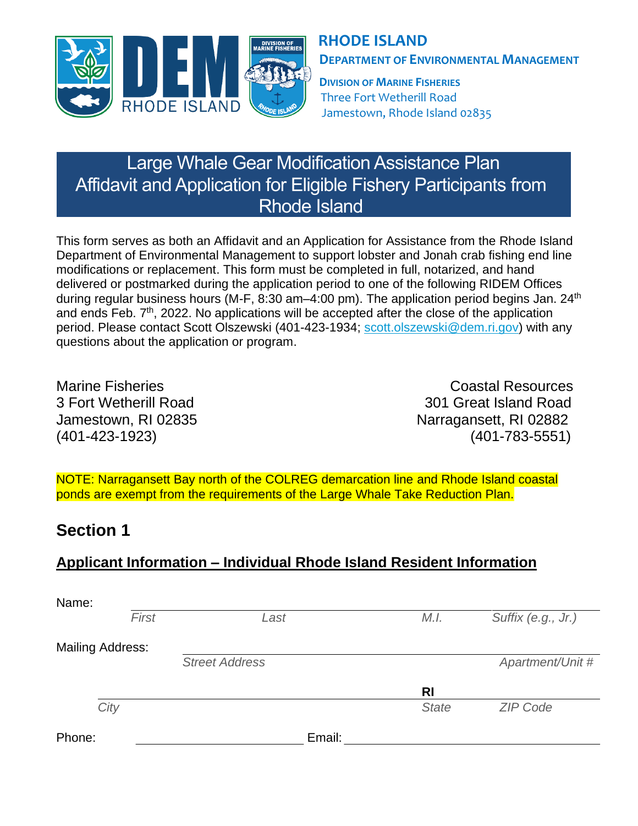

## **RHODE ISLAND DEPARTMENT OF ENVIRONMENTAL MANAGEMENT**

**DIVISION OF MARINE FISHERIES** Three Fort Wetherill Road Jamestown, Rhode Island 02835

# Large Whale Gear Modification Assistance Plan Affidavit and Application for Eligible Fishery Participants from Rhode Island

This form serves as both an Affidavit and an Application for Assistance from the Rhode Island Department of Environmental Management to support lobster and Jonah crab fishing end line modifications or replacement. This form must be completed in full, notarized, and hand delivered or postmarked during the application period to one of the following RIDEM Offices during regular business hours (M-F, 8:30 am–4:00 pm). The application period begins Jan.  $24<sup>th</sup>$ and ends Feb. 7<sup>th</sup>, 2022. No applications will be accepted after the close of the application period. Please contact Scott Olszewski (401-423-1934; [scott.olszewski@dem.ri.gov\)](mailto:scott.olszewski@dem.ri.gov) with any questions about the application or program.

Marine Fisheries **Coastal Resources** 3 Fort Wetherill Road 301 Great Island Road Jamestown, RI 02835 Narragansett, RI 02882 (401-423-1923) (401-783-5551)

NOTE: Narragansett Bay north of the COLREG demarcation line and Rhode Island coastal ponds are exempt from the requirements of the Large Whale Take Reduction Plan.

## **Section 1**

## **Applicant Information – Individual Rhode Island Resident Information**

| Name:                   |       |                       |              |                    |
|-------------------------|-------|-----------------------|--------------|--------------------|
|                         | First | Last                  | M.I.         | Suffix (e.g., Jr.) |
| <b>Mailing Address:</b> |       |                       |              |                    |
|                         |       | <b>Street Address</b> |              | Apartment/Unit #   |
|                         |       |                       | <b>RI</b>    |                    |
| City                    |       |                       | <b>State</b> | <b>ZIP Code</b>    |
| Phone:                  |       | Email:                |              |                    |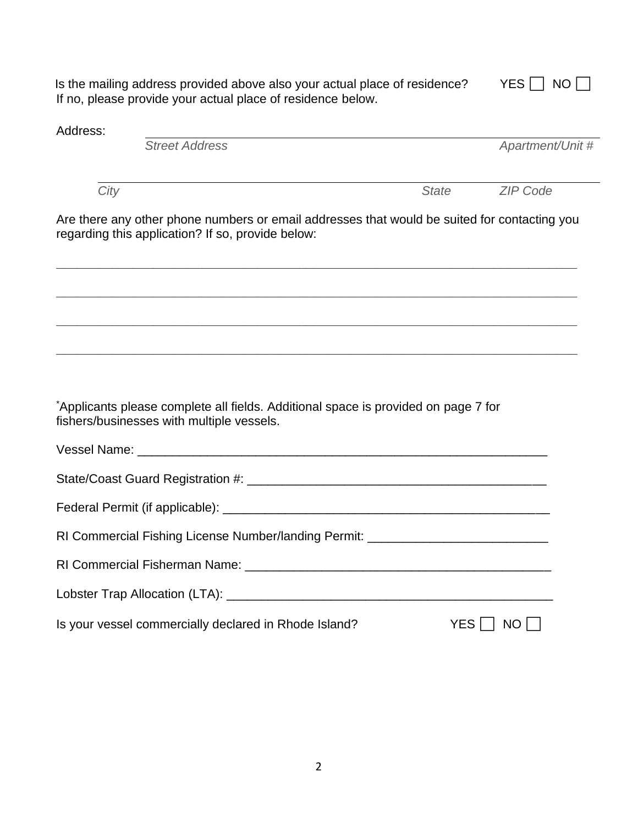Is the mailing address provided above also your actual place of residence?  $YES \cup NO \cup$ If no, please provide your actual place of residence below.

| Address: |                                                                                                                                                   |              |                  |
|----------|---------------------------------------------------------------------------------------------------------------------------------------------------|--------------|------------------|
|          | <b>Street Address</b>                                                                                                                             |              | Apartment/Unit # |
| City     |                                                                                                                                                   | <b>State</b> | <b>ZIP Code</b>  |
|          | Are there any other phone numbers or email addresses that would be suited for contacting you<br>regarding this application? If so, provide below: |              |                  |
|          |                                                                                                                                                   |              |                  |
|          |                                                                                                                                                   |              |                  |
|          | *Applicants please complete all fields. Additional space is provided on page 7 for<br>fishers/businesses with multiple vessels.                   |              |                  |
|          |                                                                                                                                                   |              |                  |
|          |                                                                                                                                                   |              |                  |
|          |                                                                                                                                                   |              |                  |
|          | RI Commercial Fishing License Number/landing Permit: ___________________________                                                                  |              |                  |
|          |                                                                                                                                                   |              |                  |
|          |                                                                                                                                                   |              |                  |
|          | Is your vessel commercially declared in Rhode Island?                                                                                             |              | YES     NO       |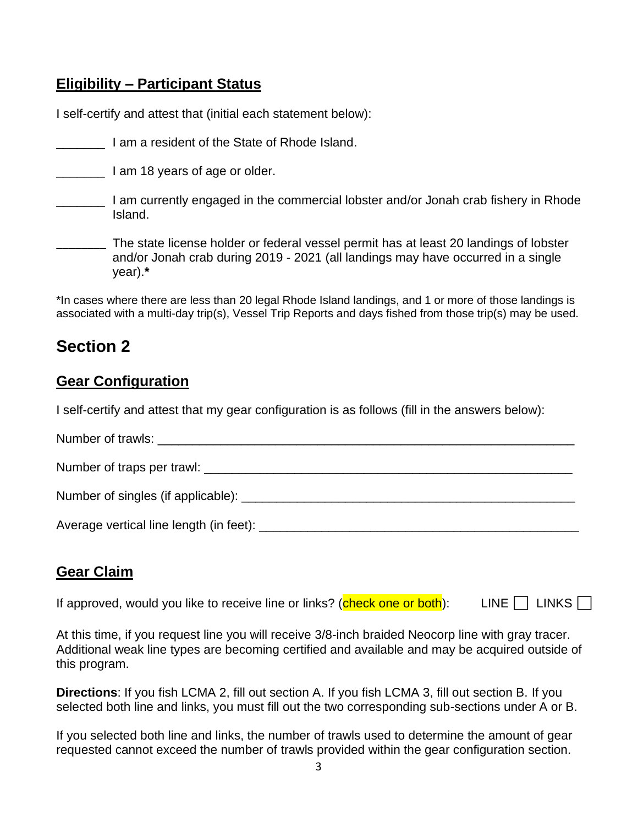### **Eligibility – Participant Status**

I self-certify and attest that (initial each statement below):

**Example 2** I am a resident of the State of Rhode Island.

**The U.S. Eq. 1.** I am 18 years of age or older.

**The Lam currently engaged in the commercial lobster and/or Jonah crab fishery in Rhode** Island.

\_\_\_\_\_\_\_\_ The state license holder or federal vessel permit has at least 20 landings of lobster and/or Jonah crab during 2019 - 2021 (all landings may have occurred in a single year).**\***

\*In cases where there are less than 20 legal Rhode Island landings, and 1 or more of those landings is associated with a multi-day trip(s), Vessel Trip Reports and days fished from those trip(s) may be used.

## **Section 2**

### **Gear Configuration**

I self-certify and attest that my gear configuration is as follows (fill in the answers below):

Number of trawls: \_\_\_\_\_\_\_\_\_\_\_\_\_\_\_\_\_\_\_\_\_\_\_\_\_\_\_\_\_\_\_\_\_\_\_\_\_\_\_\_\_\_\_\_\_\_\_\_\_\_\_\_\_\_\_\_\_\_\_\_

Number of traps per trawl: \_\_\_\_\_\_\_\_\_\_\_\_\_\_\_\_\_\_\_\_\_\_\_\_\_\_\_\_\_\_\_\_\_\_\_\_\_\_\_\_\_\_\_\_\_\_\_\_\_\_\_\_\_

Number of singles (if applicable): \_\_\_\_\_\_\_\_\_\_\_\_\_\_\_\_\_\_\_\_\_\_\_\_\_\_\_\_\_\_\_\_\_\_\_\_\_\_\_\_\_\_\_\_\_\_\_\_

Average vertical line length (in feet): \_\_\_\_\_\_\_\_\_\_\_\_\_\_\_\_\_\_\_\_\_\_\_\_\_\_\_\_\_\_\_\_\_\_\_\_\_\_\_\_\_\_\_\_\_\_

### **Gear Claim**

If approved, would you like to receive line or links? (check one or both): LINE  $\Box$  LINKS  $\Box$ 

At this time, if you request line you will receive 3/8-inch braided Neocorp line with gray tracer. Additional weak line types are becoming certified and available and may be acquired outside of this program.

**Directions**: If you fish LCMA 2, fill out section A. If you fish LCMA 3, fill out section B. If you selected both line and links, you must fill out the two corresponding sub-sections under A or B.

If you selected both line and links, the number of trawls used to determine the amount of gear requested cannot exceed the number of trawls provided within the gear configuration section.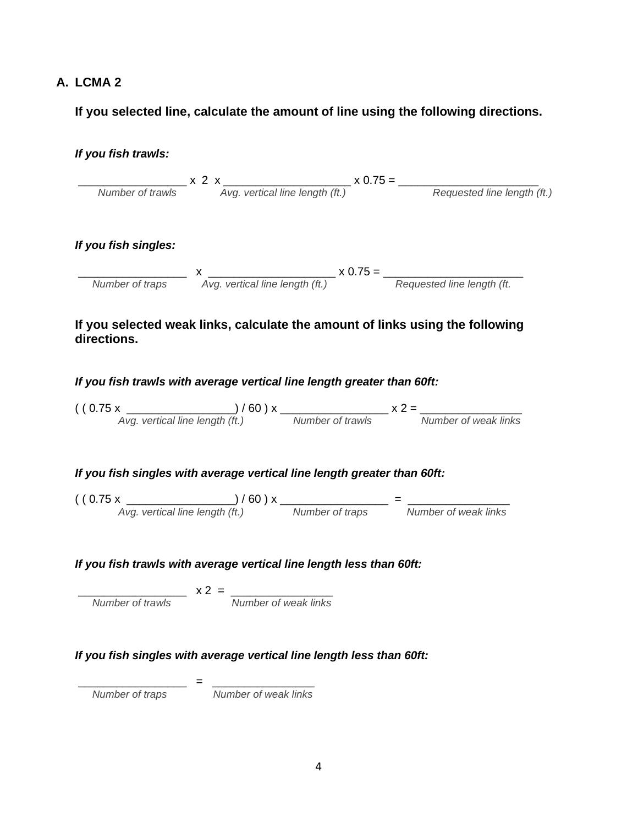### **A. LCMA 2**

 **If you selected line, calculate the amount of line using the following directions.**

|                                                                                        |                                        | $\frac{1}{\sqrt{1-\frac{1}{2}}}\times 2 \times \frac{1}{\sqrt{1-\frac{1}{2}}\times 0.75}$ $\times 0.75 = \frac{1}{\sqrt{1-\frac{1}{2}}\times 0.75}$                                                                                                                                     |
|----------------------------------------------------------------------------------------|----------------------------------------|-----------------------------------------------------------------------------------------------------------------------------------------------------------------------------------------------------------------------------------------------------------------------------------------|
| If you fish singles:                                                                   |                                        |                                                                                                                                                                                                                                                                                         |
|                                                                                        |                                        |                                                                                                                                                                                                                                                                                         |
|                                                                                        |                                        | Number of traps $x$ $\overline{Avg}$ . vertical line length (ft.) $x$ 0.75 = $\overline{Avg}$ .                                                                                                                                                                                         |
| directions.<br>If you fish trawls with average vertical line length greater than 60ft: |                                        |                                                                                                                                                                                                                                                                                         |
|                                                                                        |                                        |                                                                                                                                                                                                                                                                                         |
|                                                                                        |                                        | $($ (0.75 x $\frac{)}{Avg.$ vertical line length (ft.) $\frac{1}{100}$ x $\frac{1}{100}$ x $\frac{1}{100}$ x $\frac{2}{100}$ x $\frac{2}{100}$ x $\frac{2}{100}$ x $\frac{2}{100}$ x $\frac{2}{100}$ x $\frac{2}{100}$ x $\frac{2}{100}$ x $\frac{2}{100}$ x $\frac{2}{100}$ x $\frac{$ |
| If you fish singles with average vertical line length greater than 60ft:               |                                        |                                                                                                                                                                                                                                                                                         |
|                                                                                        |                                        | $($ (0.75 x $\frac{)}{Avg}$ vertical line length (ft.) $\frac{1}{100}$ x $\frac{1}{N}$ Number of traps $\frac{1}{N}$ Number of weak links                                                                                                                                               |
|                                                                                        |                                        |                                                                                                                                                                                                                                                                                         |
|                                                                                        |                                        |                                                                                                                                                                                                                                                                                         |
|                                                                                        |                                        |                                                                                                                                                                                                                                                                                         |
|                                                                                        |                                        |                                                                                                                                                                                                                                                                                         |
| If you fish trawls with average vertical line length less than 60ft:                   |                                        |                                                                                                                                                                                                                                                                                         |
|                                                                                        | $x^2 = \frac{1}{x^2}$ Number of trawls |                                                                                                                                                                                                                                                                                         |
| If you fish singles with average vertical line length less than 60ft:                  |                                        |                                                                                                                                                                                                                                                                                         |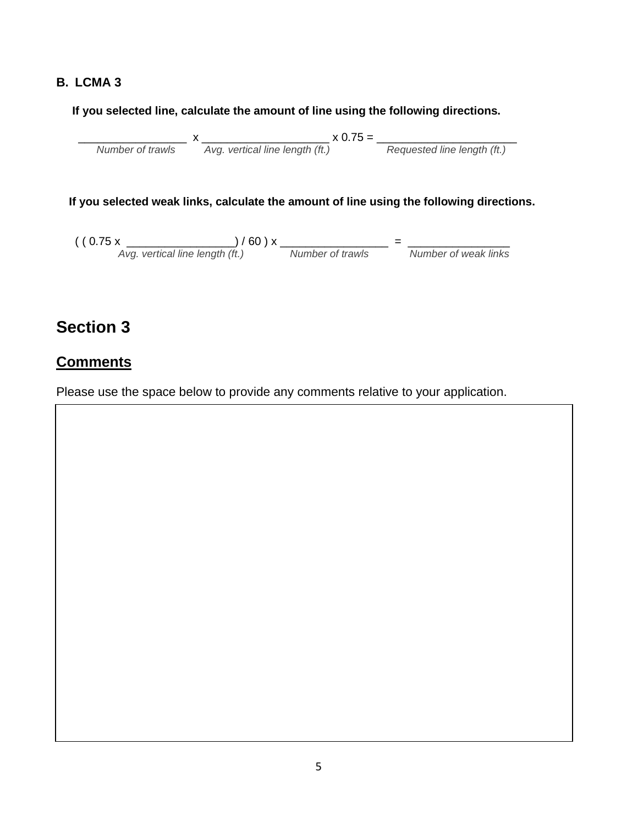#### **B. LCMA 3**

#### **If you selected line, calculate the amount of line using the following directions.**

 $x_1 = x_2 = x_3 = x_4 = x_5 = x_6 = x_7 = x_7 = x_8 = x_7 = x_7 = x_8 = x_7 = x_7 = x_8 = x_7 = x_7 = x_8 = x_7 = x_8 = x_7 = x_8 = x_7 = x_8 = x_7 = x_8 = x_7 = x_8 = x_7 = x_8 = x_7 = x_8 = x_7 = x_8 = x_7 = x_8 = x_7 = x_8 = x_8 = x_9 = x_9 = x_8 = x_9 = x_9 = x_9 = x_8 = x_9 = x_9 = x_9 = x_0 = x_0 = x_0 = x_0 = x_0 = x_0 =$ *Number of trawls Avg. vertical line length (ft.) Requested line length (ft.)*

#### **If you selected weak links, calculate the amount of line using the following directions.**

 ( ( 0.75 x \_\_\_\_\_\_\_\_\_\_\_\_\_\_\_\_\_) / 60 ) x \_\_\_\_\_\_\_\_\_\_\_\_\_\_\_\_\_ = \_\_\_\_\_\_\_\_\_\_\_\_\_\_\_\_ *Avg. vertical line length (ft.) Number of trawls Number of weak links*

## **Section 3**

### **Comments**

Please use the space below to provide any comments relative to your application.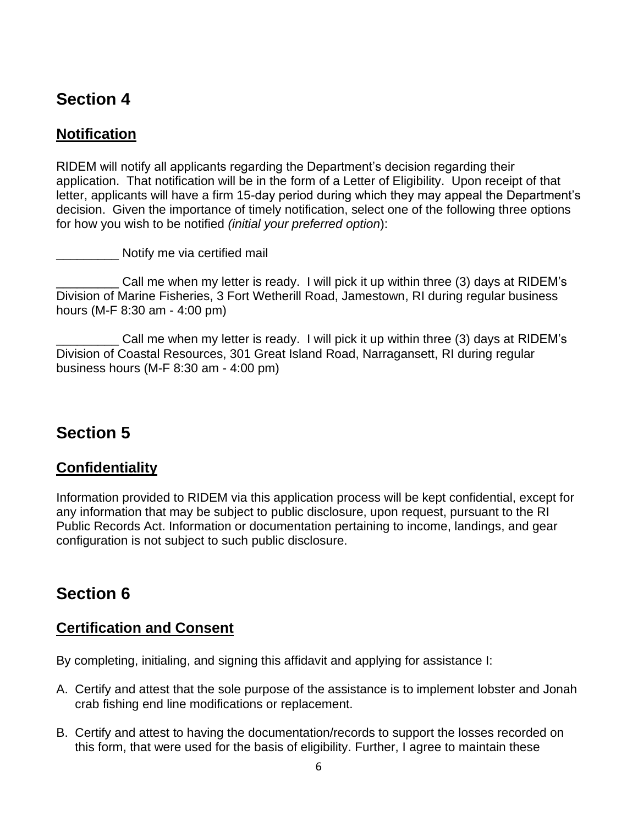## **Section 4**

### **Notification**

RIDEM will notify all applicants regarding the Department's decision regarding their application. That notification will be in the form of a Letter of Eligibility. Upon receipt of that letter, applicants will have a firm 15-day period during which they may appeal the Department's decision. Given the importance of timely notification, select one of the following three options for how you wish to be notified *(initial your preferred option*):

\_\_\_\_\_\_\_\_\_ Notify me via certified mail

Call me when my letter is ready. I will pick it up within three (3) days at RIDEM's Division of Marine Fisheries, 3 Fort Wetherill Road, Jamestown, RI during regular business hours (M-F 8:30 am - 4:00 pm)

\_\_\_\_\_\_\_\_\_ Call me when my letter is ready. I will pick it up within three (3) days at RIDEM's Division of Coastal Resources, 301 Great Island Road, Narragansett, RI during regular business hours (M-F 8:30 am - 4:00 pm)

## **Section 5**

### **Confidentiality**

Information provided to RIDEM via this application process will be kept confidential, except for any information that may be subject to public disclosure, upon request, pursuant to the RI Public Records Act. Information or documentation pertaining to income, landings, and gear configuration is not subject to such public disclosure.

## **Section 6**

### **Certification and Consent**

By completing, initialing, and signing this affidavit and applying for assistance I:

- A. Certify and attest that the sole purpose of the assistance is to implement lobster and Jonah crab fishing end line modifications or replacement.
- B. Certify and attest to having the documentation/records to support the losses recorded on this form, that were used for the basis of eligibility. Further, I agree to maintain these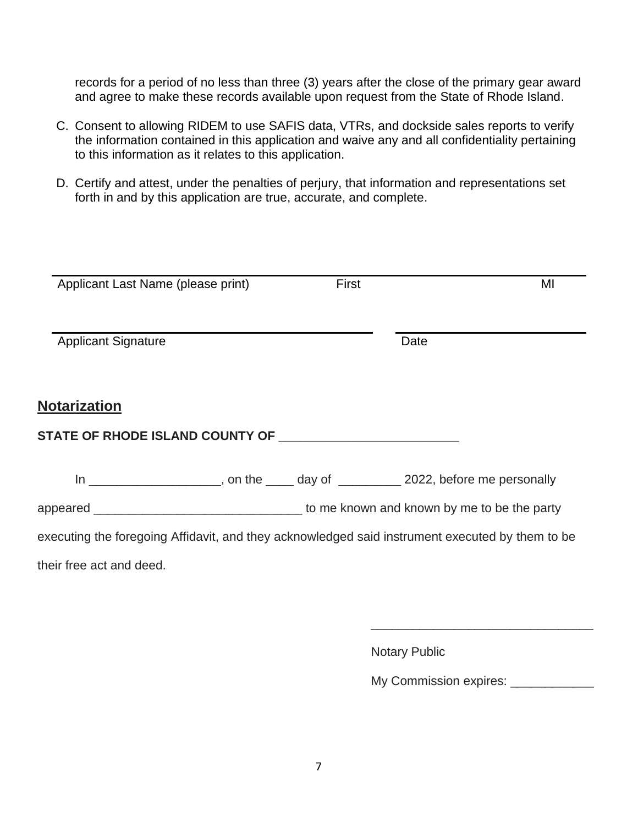records for a period of no less than three (3) years after the close of the primary gear award and agree to make these records available upon request from the State of Rhode Island.

- C. Consent to allowing RIDEM to use SAFIS data, VTRs, and dockside sales reports to verify the information contained in this application and waive any and all confidentiality pertaining to this information as it relates to this application.
- D. Certify and attest, under the penalties of perjury, that information and representations set forth in and by this application are true, accurate, and complete.

| Applicant Last Name (please print) | First |                                                                                                 | MI |
|------------------------------------|-------|-------------------------------------------------------------------------------------------------|----|
|                                    |       |                                                                                                 |    |
| <b>Applicant Signature</b>         |       | Date                                                                                            |    |
|                                    |       |                                                                                                 |    |
| <b>Notarization</b>                |       |                                                                                                 |    |
|                                    |       |                                                                                                 |    |
|                                    |       | In ______________________, on the _____ day of ___________ 2022, before me personally           |    |
|                                    |       |                                                                                                 |    |
|                                    |       | executing the foregoing Affidavit, and they acknowledged said instrument executed by them to be |    |
| their free act and deed.           |       |                                                                                                 |    |
|                                    |       |                                                                                                 |    |

Notary Public

My Commission expires: \_\_\_\_\_\_\_\_\_\_\_\_

 $\overline{\phantom{a}}$  , and the contract of the contract of the contract of the contract of the contract of the contract of the contract of the contract of the contract of the contract of the contract of the contract of the contrac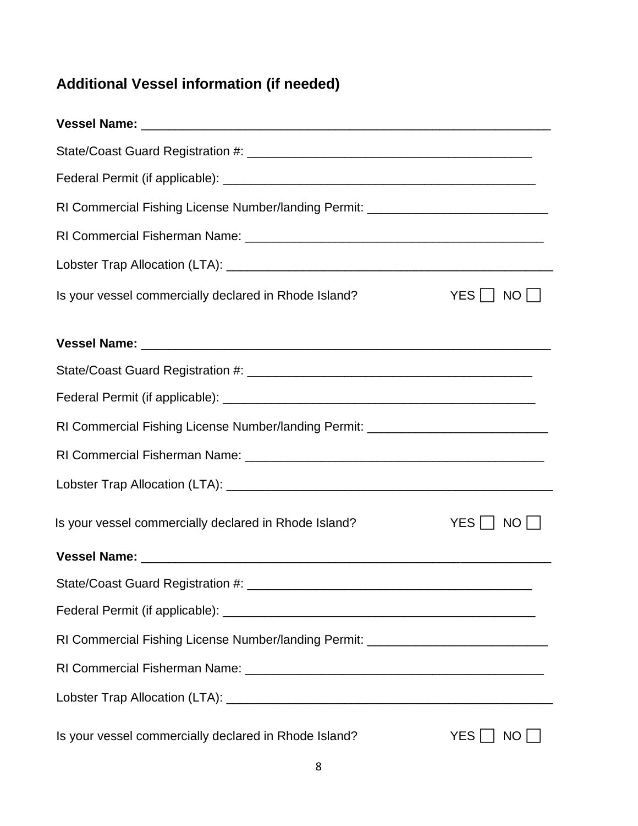# **Additional Vessel information (if needed)**

| RI Commercial Fishing License Number/landing Permit: ___________________________ |               |
|----------------------------------------------------------------------------------|---------------|
|                                                                                  |               |
|                                                                                  |               |
| Is your vessel commercially declared in Rhode Island?                            | YES     NO    |
|                                                                                  |               |
|                                                                                  |               |
|                                                                                  |               |
|                                                                                  |               |
| RI Commercial Fishing License Number/landing Permit: ___________________________ |               |
|                                                                                  |               |
|                                                                                  |               |
| Is your vessel commercially declared in Rhode Island?                            | YES     NO    |
|                                                                                  |               |
|                                                                                  |               |
|                                                                                  |               |
| RI Commercial Fishing License Number/landing Permit: ___________________________ |               |
|                                                                                  |               |
|                                                                                  |               |
| Is your vessel commercially declared in Rhode Island?                            | YES    <br>NO |